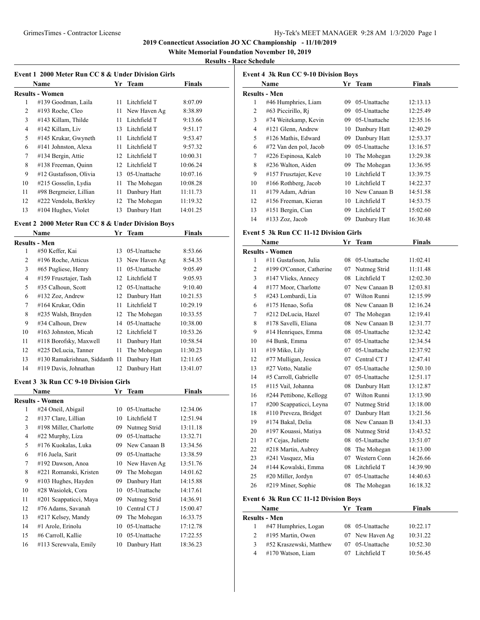**2019 Connecticut Association JO XC Championship - 11/10/2019**

**White Memorial Foundation November 10, 2019**

## **Results - Race Schedule**

| Event 1–2000 Meter Run CC 8 & Under Division Girls |
|----------------------------------------------------|
|----------------------------------------------------|

|    | Name                   | Yr | Team            | <b>Finals</b> |
|----|------------------------|----|-----------------|---------------|
|    | <b>Results - Women</b> |    |                 |               |
| 1  | #139 Goodman, Laila    | 11 | Litchfield T    | 8:07.09       |
| 2  | #193 Roche, Cleo       | 11 | New Haven Ag    | 8:38.89       |
| 3  | #143 Killam, Thilde    | 11 | Litchfield T    | 9:13.66       |
| 4  | #142 Killam, Liv       | 13 | Litchfield T    | 9:51.17       |
| 5  | #145 Krukar, Gwyneth   | 11 | Litchfield T    | 9:53.47       |
| 6  | #141 Johnston, Alexa   | 11 | Litchfield T    | 9:57.32       |
| 7  | #134 Bergin, Attie     | 12 | Litchfield T    | 10:00.31      |
| 8  | #138 Freeman, Ouinn    |    | 12 Litchfield T | 10:06.24      |
| 9  | #12 Gustafsson, Olivia | 13 | 05-Unattache    | 10:07.16      |
| 10 | #215 Gosselin, Lydia   | 11 | The Mohegan     | 10:08.28      |
| 11 | #98 Bergmeier, Lillian | 11 | Danbury Hatt    | 11:11.73      |
| 12 | #222 Vendola, Berkley  | 12 | The Mohegan     | 11:19.32      |
| 13 | #104 Hughes, Violet    | 13 | Danbury Hatt    | 14:01.25      |

## **Event 2 2000 Meter Run CC 8 & Under Division Boys**

|                | Name                           | Yr | <b>Team</b>     | <b>Finals</b> |  |
|----------------|--------------------------------|----|-----------------|---------------|--|
|                | Results - Men                  |    |                 |               |  |
| 1              | #50 Keffer, Kai                | 13 | 05-Unattache    | 8:53.66       |  |
| 2              | #196 Roche, Atticus            | 13 | New Haven Ag    | 8:54.35       |  |
| 3              | #65 Pugliese, Henry            | 11 | 05-Unattache    | 9:05.49       |  |
| $\overline{4}$ | #159 Frusztajer, Tash          | 12 | Litchfield T    | 9:05.93       |  |
| 5              | #35 Calhoun, Scott             | 12 | 05-Unattache    | 9:10.40       |  |
| 6              | $\#132$ Zoz, Andrew            | 12 | Danbury Hatt    | 10:21.53      |  |
| 7              | #164 Krukar, Odin              | 11 | Litchfield T    | 10:29.19      |  |
| 8              | #235 Walsh, Brayden            |    | 12 The Mohegan  | 10:33.55      |  |
| 9              | #34 Calhoun, Drew              | 14 | 05-Unattache    | 10:38.00      |  |
| 10             | #163 Johnston, Micah           |    | 12 Litchfield T | 10:53.26      |  |
| 11             | #118 Borofsky, Maxwell         | 11 | Danbury Hatt    | 10:58.54      |  |
| 12             | #225 DeLucia, Tanner           | 11 | The Mohegan     | 11:30.23      |  |
| 13             | #130 Ramakrishnan, Siddanth 11 |    | Danbury Hatt    | 12:11.65      |  |
| 14             | #119 Davis, Johnathan          | 12 | Danbury Hatt    | 13:41.07      |  |

#### **Event 3 3k Run CC 9-10 Division Girls**

| Name                   | Yr                     | <b>Team</b>  | Finals   |  |
|------------------------|------------------------|--------------|----------|--|
|                        |                        |              |          |  |
| #24 Oneil, Abigail     | 10                     | 05-Unattache | 12:34.06 |  |
| #137 Clare, Lillian    | 10                     | Litchfield T | 12:51.94 |  |
| #198 Miller, Charlotte | 09                     | Nutmeg Strid | 13:11.18 |  |
| #22 Murphy, Liza       | 09                     | 05-Unattache | 13:32.71 |  |
| #176 Kuokalas, Luka    | 09                     | New Canaan B | 13:34.56 |  |
| #16 Juela, Sarit       | 09                     | 05-Unattache | 13:38.59 |  |
| #192 Dawson, Anoa      | 10                     | New Haven Ag | 13:51.76 |  |
| #221 Romanski, Kristen | 09                     | The Mohegan  | 14:01.62 |  |
| #103 Hughes, Hayden    | 09                     | Danbury Hatt | 14:15.88 |  |
| #28 Wasiolek, Cora     | 10                     | 05-Unattache | 14:17.61 |  |
| #201 Scappaticci, Maya | 09                     | Nutmeg Strid | 14:36.91 |  |
| #76 Adams, Savanah     | 10                     | Central CT J | 15:00.47 |  |
| #217 Kelsey, Mandy     | 09                     | The Mohegan  | 16:33.75 |  |
| #1 Arole, Erinolu      | 10                     | 05-Unattache | 17:12.78 |  |
| #6 Carroll, Kallie     | 10                     | 05-Unattache | 17:22.55 |  |
| #113 Screwyala, Emily  | 10                     | Danbury Hatt | 18:36.23 |  |
|                        | <b>Results - Women</b> |              |          |  |

|    | <b>Event 4 3k Run CC 9-10 Division Boys</b><br>Name | Yr | <b>Team</b>  | Finals   |
|----|-----------------------------------------------------|----|--------------|----------|
|    | <b>Results - Men</b>                                |    |              |          |
| 1  | #46 Humphries, Liam                                 | 09 | 05-Unattache | 12:13.13 |
| 2  | #63 Piccirillo, Ri                                  | 09 | 05-Unattache | 12:25.49 |
| 3  | #74 Weitekamp, Kevin                                | 09 | 05-Unattache | 12:35.16 |
| 4  | #121 Glenn, Andrew                                  | 10 | Danbury Hatt | 12:40.29 |
| 5  | #126 Mathis, Edward                                 | 09 | Danbury Hatt | 12:53.37 |
| 6  | #72 Van den pol, Jacob                              | 09 | 05-Unattache | 13:16.57 |
| 7  | #226 Espinosa, Kaleb                                | 10 | The Mohegan  | 13:29.38 |
| 8  | #236 Walton, Aiden                                  | 09 | The Mohegan  | 13:36.95 |
| 9  | #157 Frusztajer, Keve                               | 10 | Litchfield T | 13:39.75 |
| 10 | #166 Rothberg, Jacob                                | 10 | Litchfield T | 14:22.37 |
| 11 | #179 Adam, Adrian                                   | 10 | New Canaan B | 14:51.58 |
| 12 | #156 Freeman, Kieran                                | 10 | Litchfield T | 14:53.75 |
| 13 | #151 Bergin, Cian                                   | 09 | Litchfield T | 15:02.60 |
| 14 | #133 Zoz, Jacob                                     | 09 | Danbury Hatt | 16:30.48 |

# **Event 5 3k Run CC 11-12 Division Girls**

|                | Name                     | Yr | Team            | <b>Finals</b> |  |
|----------------|--------------------------|----|-----------------|---------------|--|
|                | <b>Results - Women</b>   |    |                 |               |  |
| 1              | #11 Gustafsson, Julia    | 08 | 05-Unattache    | 11:02.41      |  |
| $\overline{2}$ | #199 O'Connor, Catherine | 07 | Nutmeg Strid    | 11:11.48      |  |
| 3              | #147 Vlieks, Annecy      | 08 | Litchfield T    | 12:02.30      |  |
| $\overline{4}$ | #177 Moor, Charlotte     | 07 | New Canaan B    | 12:03.81      |  |
| 5              | #243 Lombardi, Lia       |    | 07 Wilton Runni | 12:15.99      |  |
| 6              | #175 Henao, Sofia        | 08 | New Canaan B    | 12:16.24      |  |
| 7              | #212 DeLucia, Hazel      | 07 | The Mohegan     | 12:19.41      |  |
| 8              | #178 Savelli, Eliana     | 08 | New Canaan B    | 12:31.77      |  |
| 9              | #14 Henriques, Emma      | 08 | 05-Unattache    | 12:32.42      |  |
| 10             | #4 Bunk, Emma            | 07 | 05-Unattache    | 12:34.54      |  |
| 11             | #19 Miko, Lily           | 07 | 05-Unattache    | 12:37.92      |  |
| 12             | #77 Mulligan, Jessica    | 07 | Central CT J    | 12:47.41      |  |
| 13             | #27 Votto, Natalie       | 07 | 05-Unattache    | 12:50.10      |  |
| 14             | #5 Carroll, Gabrielle    | 07 | 05-Unattache    | 12:51.17      |  |
| 15             | #115 Vail, Johanna       | 08 | Danbury Hatt    | 13:12.87      |  |
| 16             | #244 Pettibone, Kellogg  | 07 | Wilton Runni    | 13:13.90      |  |
| 17             | #200 Scappaticci, Leyna  | 07 | Nutmeg Strid    | 13:18.00      |  |
| 18             | #110 Preveza, Bridget    | 07 | Danbury Hatt    | 13:21.56      |  |
| 19             | #174 Bakal, Delia        | 08 | New Canaan B    | 13:41.33      |  |
| 20             | #197 Kouassi, Matiya     | 08 | Nutmeg Strid    | 13:43.52      |  |
| 21             | #7 Cejas, Juliette       | 08 | 05-Unattache    | 13:51.07      |  |
| 22             | #218 Martin, Aubrey      | 08 | The Mohegan     | 14:13.00      |  |
| 23             | #241 Vasquez, Mia        | 07 | Western Conn    | 14:26.66      |  |
| 24             | #144 Kowalski, Emma      | 08 | Litchfield T    | 14:39.90      |  |
| 25             | #20 Miller, Jordyn       | 07 | 05-Unattache    | 14:40.63      |  |
| 26             | #219 Miner, Sophie       | 08 | The Mohegan     | 16:18.32      |  |

## **Event 6 3k Run CC 11-12 Division Boys**

|   | Name                    | Vr | Team            | <b>Finals</b> |  |
|---|-------------------------|----|-----------------|---------------|--|
|   | Results - Men           |    |                 |               |  |
|   | #47 Humphries, Logan    |    | 08 05-Unattache | 10:22.17      |  |
| 2 | #195 Martin, Owen       |    | 07 New Haven Ag | 10:31.22      |  |
| 3 | #52 Kraszewski, Matthew |    | 07 05-Unattache | 10:52.30      |  |
| 4 | #170 Watson, Liam       |    | Litchfield T    | 10:56.45      |  |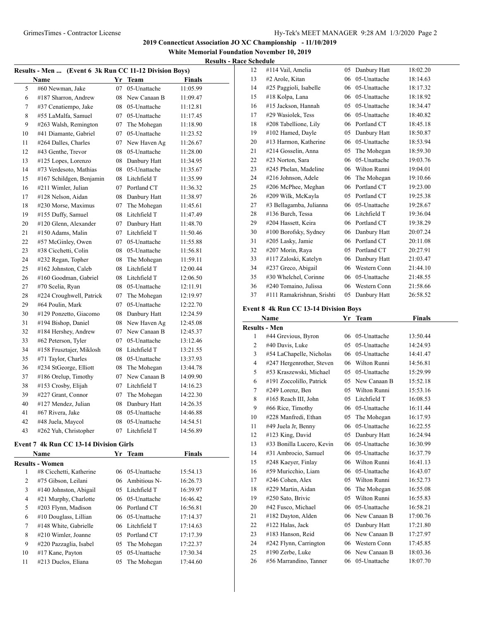**2019 Connecticut Association JO XC Championship - 11/10/2019**

**White Memorial Foundation November 10, 2019 Results - Race Schedule**

| Results - Men  (Event 6 3k Run CC 11-12 Division Boys) |    |              |                       |  |
|--------------------------------------------------------|----|--------------|-----------------------|--|
| Name                                                   |    | <b>Team</b>  | <b>Finals</b>         |  |
| #60 Newman, Jake                                       | 07 | 05-Unattache | 11:05.99              |  |
| #187 Sharron, Andrew                                   | 08 | New Canaan B | 11:09.47              |  |
| #37 Cenatiempo, Jake                                   |    |              | 11:12.81              |  |
| #55 LaMalfa, Samuel                                    | 07 | 05-Unattache | 11:17.45              |  |
| #263 Walsh, Remington                                  | 07 | The Mohegan  | 11:18.90              |  |
| #41 Diamante, Gabriel                                  | 07 | 05-Unattache | 11:23.52              |  |
| #264 Dalles, Charles                                   | 07 | New Haven Ag | 11:26.67              |  |
| #43 Genthe, Trevor                                     | 08 | 05-Unattache | 11:28.00              |  |
| #125 Lopes, Lorenzo                                    | 08 | Danbury Hatt | 11:34.95              |  |
| #73 Verdesoto, Mathias                                 | 08 | 05-Unattache | 11:35.67              |  |
| #167 Schildgen, Benjamin                               | 08 | Litchfield T | 11:35.99              |  |
| #211 Wimler, Julian                                    | 07 | Portland CT  | 11:36.32              |  |
| #128 Nelson, Aidan                                     | 08 | Danbury Hatt | 11:38.97              |  |
| #230 Morse, Maximus                                    | 07 | The Mohegan  | 11:45.61              |  |
| #155 Duffy, Samuel                                     | 08 | Litchfield T | 11:47.49              |  |
| #120 Glenn, Alexander                                  | 07 | Danbury Hatt | 11:48.70              |  |
| #150 Adams, Malin                                      | 07 | Litchfield T | 11:50.46              |  |
| #57 McGinley, Owen                                     | 07 | 05-Unattache | 11:55.88              |  |
| #38 Cicchetti, Colin                                   | 08 | 05-Unattache | 11:56.81              |  |
| #232 Regan, Topher                                     | 08 | The Mohegan  | 11:59.11              |  |
| #162 Johnston, Caleb                                   | 08 | Litchfield T | 12:00.44              |  |
| #160 Goodman, Gabriel                                  | 08 | Litchfield T | 12:06.50              |  |
| #70 Scelia, Ryan                                       | 08 | 05-Unattache | 12:11.91              |  |
| #224 Croughwell, Patrick                               | 07 | The Mohegan  | 12:19.97              |  |
| #64 Poulin, Mark                                       | 07 | 05-Unattache | 12:22.70              |  |
| #129 Ponzetto, Giacomo                                 | 08 | Danbury Hatt | 12:24.59              |  |
| #194 Bishop, Daniel                                    | 08 | New Haven Ag | 12:45.08              |  |
| #184 Hershey, Andrew                                   | 07 | New Canaan B | 12:45.37              |  |
| #62 Peterson, Tyler                                    | 07 | 05-Unattache | 13:12.46              |  |
| #158 Frusztajer, Miklosh                               | 08 | Litchfield T | 13:21.55              |  |
| #71 Taylor, Charles                                    | 08 | 05-Unattache | 13:37.93              |  |
| #234 StGeorge, Elliott                                 | 08 | The Mohegan  | 13:44.78              |  |
| #186 Orelup, Timothy                                   | 07 | New Canaan B | 14:09.90              |  |
| #153 Crosby, Elijah                                    | 07 | Litchfield T | 14:16.23              |  |
| #227 Grant, Connor                                     | 07 | The Mohegan  | 14:22.30              |  |
| #127 Mendez, Julian                                    | 08 | Danbury Hatt | 14:26.35              |  |
| #67 Rivera, Jake                                       | 08 | 05-Unattache | 14:46.88              |  |
| #48 Juela, Maycol                                      | 08 | 05-Unattache | 14:54.51              |  |
| #262 Yuh, Christopher                                  | 07 | Litchfield T | 14:56.89              |  |
|                                                        |    |              | Yr<br>08 05-Unattache |  |

# **Event 7 4k Run CC 13-14 Division Girls**

|    | Name                    | Yr | Team            | Finals   |  |
|----|-------------------------|----|-----------------|----------|--|
|    | Results - Women         |    |                 |          |  |
| 1  | #8 Cicchetti, Katherine |    | 06 05-Unattache | 15:54.13 |  |
| 2  | #75 Gibson, Leilani     |    | 06 Ambitious N- | 16:26.73 |  |
| 3  | #140 Johnston, Abigail  |    | 05 Litchfield T | 16:39.97 |  |
| 4  | #21 Murphy, Charlotte   |    | 06 05-Unattache | 16:46.42 |  |
| 5  | #203 Flynn, Madison     |    | 06 Portland CT  | 16:56.81 |  |
| 6  | #10 Douglass, Lillian   |    | 06 05-Unattache | 17:14.37 |  |
| 7  | #148 White, Gabrielle   |    | 06 Litchfield T | 17:14.63 |  |
| 8  | #210 Wimler, Joanne     |    | 05 Portland CT  | 17:17.39 |  |
| 9  | #220 Pazzaglia, Isabel  |    | 05 The Mohegan  | 17:22.37 |  |
| 10 | $#17$ Kane, Payton      | 05 | 05-Unattache    | 17:30.34 |  |
| 11 | #213 Duclos, Eliana     |    | 05 The Mohegan  | 17:44.60 |  |

| 12 | #114 Vail, Amelia          | 05 | Danbury Hatt | 18:02.20 |
|----|----------------------------|----|--------------|----------|
| 13 | #2 Arole, Kitan            | 06 | 05-Unattache | 18:14.63 |
| 14 | #25 Paggioli, Isabelle     | 06 | 05-Unattache | 18:17.32 |
| 15 | #18 Kolpa, Lana            | 06 | 05-Unattache | 18:18.92 |
| 16 | #15 Jackson, Hannah        | 05 | 05-Unattache | 18:34.47 |
| 17 | #29 Wasiolek, Tess         | 06 | 05-Unattache | 18:40.82 |
| 18 | #208 Tabellione, Lily      | 06 | Portland CT  | 18:45.18 |
| 19 | #102 Hamed, Dayle          | 05 | Danbury Hatt | 18:50.87 |
| 20 | #13 Harmon, Katherine      | 06 | 05-Unattache | 18:53.94 |
| 21 | #214 Gosselin, Anna        | 05 | The Mohegan  | 18:59.30 |
| 22 | #23 Norton, Sara           | 06 | 05-Unattache | 19:03.76 |
| 23 | #245 Phelan, Madeline      | 06 | Wilton Runni | 19:04.01 |
| 24 | #216 Johnson, Adele        | 06 | The Mohegan  | 19:10.66 |
| 25 | #206 McPhee, Meghan        | 06 | Portland CT  | 19:23.00 |
| 26 | #209 Wilk, McKayla         | 05 | Portland CT  | 19:25.38 |
| 27 | #3 Bellagamba, Julianna    | 06 | 05-Unattache | 19:28.67 |
| 28 | #136 Burch, Tessa          | 06 | Litchfield T | 19:36.04 |
| 29 | #204 Hassett, Keira        | 06 | Portland CT  | 19:38.29 |
| 30 | #100 Borofsky, Sydney      | 06 | Danbury Hatt | 20:07.24 |
| 31 | #205 Lasky, Jamie          | 06 | Portland CT  | 20:11.08 |
| 32 | #207 Morin, Raya           | 05 | Portland CT  | 20:27.91 |
| 33 | #117 Zaloski, Katelyn      | 06 | Danbury Hatt | 21:03.47 |
| 34 | #237 Greco, Abigail        | 06 | Western Conn | 21:44.10 |
| 35 | #30 Whelchel, Corinne      | 06 | 05-Unattache | 21:48.55 |
| 36 | #240 Tomaino, Julissa      | 06 | Western Conn | 21:58.66 |
| 37 | #111 Ramakrishnan, Srishti | 05 | Danbury Hatt | 26:58.52 |

## **Event 8 4k Run CC 13-14 Division Boys**

|                | Name                      | Yr  | Team         | <b>Finals</b> |  |
|----------------|---------------------------|-----|--------------|---------------|--|
|                | <b>Results - Men</b>      |     |              |               |  |
| 1              | #44 Grevious, Byron       | 06  | 05-Unattache | 13:50.44      |  |
| $\overline{c}$ | #40 Davis, Luke           | 0.5 | 05-Unattache | 14:24.93      |  |
| 3              | #54 LaChapelle, Nicholas  | 06  | 05-Unattache | 14:41.47      |  |
| 4              | #247 Hergenrother, Steven | 06  | Wilton Runni | 14:56.81      |  |
| 5              | #53 Kraszewski, Michael   | 05  | 05-Unattache | 15:29.99      |  |
| 6              | #191 Zoccolillo, Patrick  | 05  | New Canaan B | 15:52.18      |  |
| 7              | #249 Lorenz, Ben          | 05  | Wilton Runni | 15:53.16      |  |
| 8              | #165 Reach III, John      | 0.5 | Litchfield T | 16:08.53      |  |
| 9              | #66 Rice, Timothy         | 06  | 05-Unattache | 16:11.44      |  |
| 10             | #228 Manfredi, Ethan      | 05  | The Mohegan  | 16:17.93      |  |
| 11             | #49 Juela Jr, Benny       | 06  | 05-Unattache | 16:22.55      |  |
| 12             | #123 King, David          | 05  | Danbury Hatt | 16:24.94      |  |
| 13             | #33 Bonilla Lucero, Kevin | 06  | 05-Unattache | 16:30.99      |  |
| 14             | #31 Ambrocio, Samuel      | 06  | 05-Unattache | 16:37.79      |  |
| 15             | #248 Kaeyer, Finlay       | 06  | Wilton Runni | 16:41.13      |  |
| 16             | #59 Muricchio, Liam       | 06  | 05-Unattache | 16:43.07      |  |
| 17             | #246 Cohen, Alex          | 05  | Wilton Runni | 16:52.73      |  |
| 18             | #229 Martin, Aidan        | 06  | The Mohegan  | 16:55.08      |  |
| 19             | #250 Sato, Brivic         | 05  | Wilton Runni | 16:55.83      |  |
| 20             | #42 Fusco, Michael        | 06  | 05-Unattache | 16:58.21      |  |
| 21             | #182 Dayton, Alden        | 06  | New Canaan B | 17:00.76      |  |
| 22             | #122 Halas, Jack          | 05  | Danbury Hatt | 17:21.80      |  |
| 23             | #183 Hanson, Reid         | 06  | New Canaan B | 17:27.97      |  |
| 24             | #242 Flynn, Carrington    | 06  | Western Conn | 17:45.85      |  |
| 25             | #190 Zerbe, Luke          | 06  | New Canaan B | 18:03.36      |  |
| 26             | #56 Marrandino, Tanner    | 06  | 05-Unattache | 18:07.70      |  |